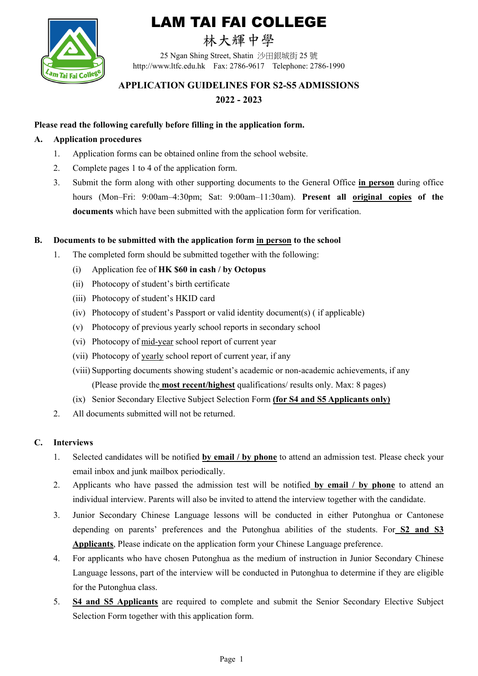

# LAM TAI FAI COLLEGE

## 林大輝中學

25 Ngan Shing Street, Shatin 沙田銀城街 25 號 http://www.ltfc.edu.hk Fax: 2786-9617 Telephone: 2786-1990

### **APPLICATION GUIDELINES FOR S2-S5 ADMISSIONS 2022 - 2023**

#### **Please read the following carefully before filling in the application form.**

#### **A. Application procedures**

- 1. Application forms can be obtained online from the school website.
- 2. Complete pages 1 to 4 of the application form.
- 3. Submit the form along with other supporting documents to the General Office **in person** during office hours (Mon–Fri: 9:00am–4:30pm; Sat: 9:00am–11:30am). **Present all original copies of the documents** which have been submitted with the application form for verification.

#### **B. Documents to be submitted with the application form in person to the school**

- 1. The completed form should be submitted together with the following:
	- (i) Application fee of **HK \$60 in cash / by Octopus**
	- (ii) Photocopy of student's birth certificate
	- (iii) Photocopy of student's HKID card
	- (iv) Photocopy of student's Passport or valid identity document(s) ( if applicable)
	- (v) Photocopy of previous yearly school reports in secondary school
	- (vi) Photocopy of mid-year school report of current year
	- (vii) Photocopy of yearly school report of current year, if any
	- (viii) Supporting documents showing student's academic or non-academic achievements, if any (Please provide the **most recent/highest** qualifications/ results only. Max: 8 pages)
	- (ix) Senior Secondary Elective Subject Selection Form **(for S4 and S5 Applicants only)**
- 2. All documents submitted will not be returned.

#### **C. Interviews**

- 1. Selected candidates will be notified **by email / by phone** to attend an admission test. Please check your email inbox and junk mailbox periodically.
- 2. Applicants who have passed the admission test will be notified **by email / by phone** to attend an individual interview. Parents will also be invited to attend the interview together with the candidate.
- 3. Junior Secondary Chinese Language lessons will be conducted in either Putonghua or Cantonese depending on parents' preferences and the Putonghua abilities of the students. For **S2 and S3 Applicants**, Please indicate on the application form your Chinese Language preference.
- 4. For applicants who have chosen Putonghua as the medium of instruction in Junior Secondary Chinese Language lessons, part of the interview will be conducted in Putonghua to determine if they are eligible for the Putonghua class.
- 5. **S4 and S5 Applicants** are required to complete and submit the Senior Secondary Elective Subject Selection Form together with this application form.